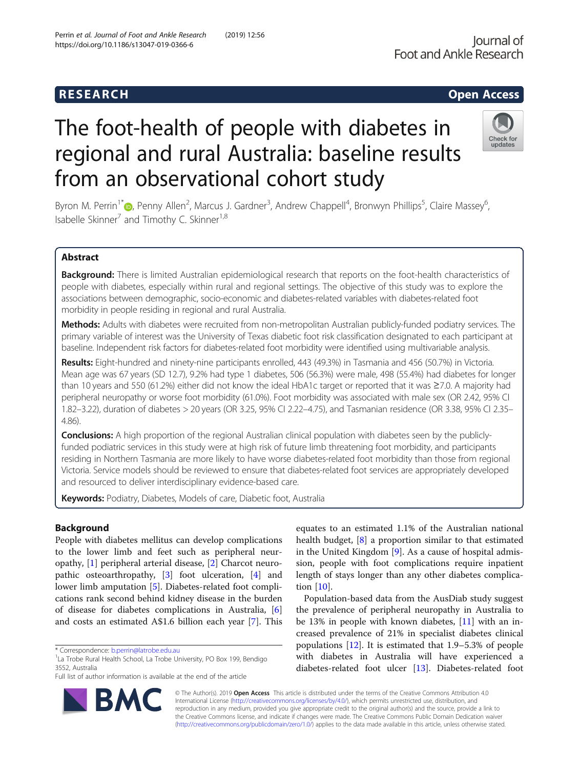# **RESEARCH CHILD CONTROL** CONTROL CONTROL CONTROL CONTROL CONTROL CONTROL CONTROL CONTROL CONTROL CONTROL CONTROL CONTROL CONTROL CONTROL CONTROL CONTROL CONTROL CONTROL CONTROL CONTROL CONTROL CONTROL CONTROL CONTROL CONTR

# The foot-health of people with diabetes in regional and rural Australia: baseline results from an observational cohort study

Byron M. Perrin<sup>1\*</sup> (D, Penny Allen<sup>2</sup>, Marcus J. Gardner<sup>3</sup>, Andrew Chappell<sup>4</sup>, Bronwyn Phillips<sup>5</sup>, Claire Massey<sup>6</sup> י<br>, Isabelle Skinner<sup>7</sup> and Timothy C. Skinner<sup>1,8</sup>

# Abstract

Background: There is limited Australian epidemiological research that reports on the foot-health characteristics of people with diabetes, especially within rural and regional settings. The objective of this study was to explore the associations between demographic, socio-economic and diabetes-related variables with diabetes-related foot morbidity in people residing in regional and rural Australia.

Methods: Adults with diabetes were recruited from non-metropolitan Australian publicly-funded podiatry services. The primary variable of interest was the University of Texas diabetic foot risk classification designated to each participant at baseline. Independent risk factors for diabetes-related foot morbidity were identified using multivariable analysis.

Results: Eight-hundred and ninety-nine participants enrolled, 443 (49.3%) in Tasmania and 456 (50.7%) in Victoria. Mean age was 67 years (SD 12.7), 9.2% had type 1 diabetes, 506 (56.3%) were male, 498 (55.4%) had diabetes for longer than 10 years and 550 (61.2%) either did not know the ideal HbA1c target or reported that it was ≥7.0. A majority had peripheral neuropathy or worse foot morbidity (61.0%). Foot morbidity was associated with male sex (OR 2.42, 95% CI 1.82–3.22), duration of diabetes > 20 years (OR 3.25, 95% CI 2.22–4.75), and Tasmanian residence (OR 3.38, 95% CI 2.35– 4.86).

**Conclusions:** A high proportion of the regional Australian clinical population with diabetes seen by the publiclyfunded podiatric services in this study were at high risk of future limb threatening foot morbidity, and participants residing in Northern Tasmania are more likely to have worse diabetes-related foot morbidity than those from regional Victoria. Service models should be reviewed to ensure that diabetes-related foot services are appropriately developed and resourced to deliver interdisciplinary evidence-based care.

Keywords: Podiatry, Diabetes, Models of care, Diabetic foot, Australia

# Background

People with diabetes mellitus can develop complications to the lower limb and feet such as peripheral neuropathy, [[1](#page-7-0)] peripheral arterial disease, [\[2](#page-8-0)] Charcot neuropathic osteoarthropathy, [[3\]](#page-8-0) foot ulceration, [[4\]](#page-8-0) and lower limb amputation [[5\]](#page-8-0). Diabetes-related foot complications rank second behind kidney disease in the burden of disease for diabetes complications in Australia, [\[6](#page-8-0)] and costs an estimated A\$1.6 billion each year [\[7](#page-8-0)]. This



Population-based data from the AusDiab study suggest the prevalence of peripheral neuropathy in Australia to be 13% in people with known diabetes, [\[11](#page-8-0)] with an increased prevalence of 21% in specialist diabetes clinical populations [\[12](#page-8-0)]. It is estimated that 1.9–5.3% of people with diabetes in Australia will have experienced a diabetes-related foot ulcer [\[13\]](#page-8-0). Diabetes-related foot

© The Author(s). 2019 Open Access This article is distributed under the terms of the Creative Commons Attribution 4.0 International License [\(http://creativecommons.org/licenses/by/4.0/](http://creativecommons.org/licenses/by/4.0/)), which permits unrestricted use, distribution, and reproduction in any medium, provided you give appropriate credit to the original author(s) and the source, provide a link to the Creative Commons license, and indicate if changes were made. The Creative Commons Public Domain Dedication waiver [\(http://creativecommons.org/publicdomain/zero/1.0/](http://creativecommons.org/publicdomain/zero/1.0/)) applies to the data made available in this article, unless otherwise stated.





<sup>\*</sup> Correspondence: [b.perrin@latrobe.edu.au](mailto:b.perrin@latrobe.edu.au) <sup>1</sup>

<sup>&</sup>lt;sup>1</sup>La Trobe Rural Health School, La Trobe University, PO Box 199, Bendigo 3552, Australia

Full list of author information is available at the end of the article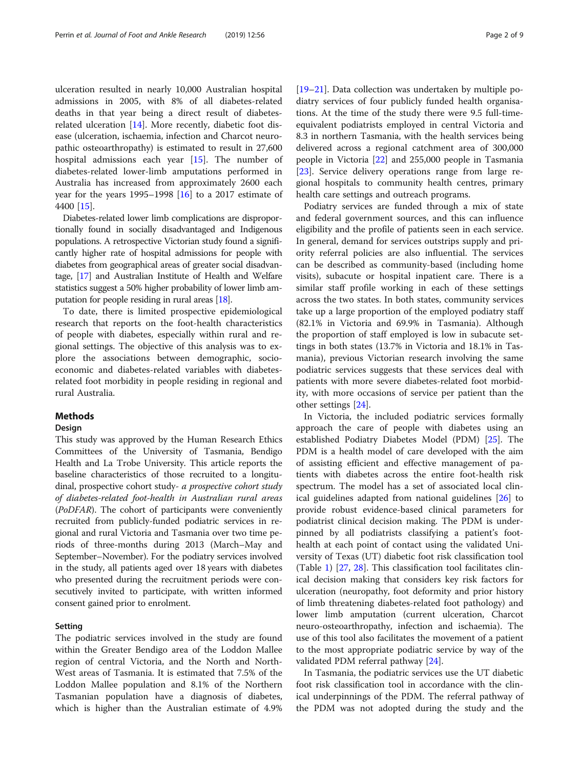ulceration resulted in nearly 10,000 Australian hospital admissions in 2005, with 8% of all diabetes-related deaths in that year being a direct result of diabetesrelated ulceration  $[14]$  $[14]$ . More recently, diabetic foot disease (ulceration, ischaemia, infection and Charcot neuropathic osteoarthropathy) is estimated to result in 27,600 hospital admissions each year [[15\]](#page-8-0). The number of diabetes-related lower-limb amputations performed in Australia has increased from approximately 2600 each year for the years 1995–1998 [\[16\]](#page-8-0) to a 2017 estimate of 4400 [\[15](#page-8-0)].

Diabetes-related lower limb complications are disproportionally found in socially disadvantaged and Indigenous populations. A retrospective Victorian study found a significantly higher rate of hospital admissions for people with diabetes from geographical areas of greater social disadvantage, [[17](#page-8-0)] and Australian Institute of Health and Welfare statistics suggest a 50% higher probability of lower limb amputation for people residing in rural areas [[18](#page-8-0)].

To date, there is limited prospective epidemiological research that reports on the foot-health characteristics of people with diabetes, especially within rural and regional settings. The objective of this analysis was to explore the associations between demographic, socioeconomic and diabetes-related variables with diabetesrelated foot morbidity in people residing in regional and rural Australia.

#### **Methods**

#### Design

This study was approved by the Human Research Ethics Committees of the University of Tasmania, Bendigo Health and La Trobe University. This article reports the baseline characteristics of those recruited to a longitudinal, prospective cohort study- a prospective cohort study of diabetes-related foot-health in Australian rural areas (PoDFAR). The cohort of participants were conveniently recruited from publicly-funded podiatric services in regional and rural Victoria and Tasmania over two time periods of three-months during 2013 (March–May and September–November). For the podiatry services involved in the study, all patients aged over 18 years with diabetes who presented during the recruitment periods were consecutively invited to participate, with written informed consent gained prior to enrolment.

#### Setting

The podiatric services involved in the study are found within the Greater Bendigo area of the Loddon Mallee region of central Victoria, and the North and North-West areas of Tasmania. It is estimated that 7.5% of the Loddon Mallee population and 8.1% of the Northern Tasmanian population have a diagnosis of diabetes, which is higher than the Australian estimate of 4.9% [[19](#page-8-0)–[21](#page-8-0)]. Data collection was undertaken by multiple podiatry services of four publicly funded health organisations. At the time of the study there were 9.5 full-timeequivalent podiatrists employed in central Victoria and 8.3 in northern Tasmania, with the health services being delivered across a regional catchment area of 300,000 people in Victoria [\[22](#page-8-0)] and 255,000 people in Tasmania [[23\]](#page-8-0). Service delivery operations range from large regional hospitals to community health centres, primary health care settings and outreach programs.

Podiatry services are funded through a mix of state and federal government sources, and this can influence eligibility and the profile of patients seen in each service. In general, demand for services outstrips supply and priority referral policies are also influential. The services can be described as community-based (including home visits), subacute or hospital inpatient care. There is a similar staff profile working in each of these settings across the two states. In both states, community services take up a large proportion of the employed podiatry staff (82.1% in Victoria and 69.9% in Tasmania). Although the proportion of staff employed is low in subacute settings in both states (13.7% in Victoria and 18.1% in Tasmania), previous Victorian research involving the same podiatric services suggests that these services deal with patients with more severe diabetes-related foot morbidity, with more occasions of service per patient than the other settings [\[24](#page-8-0)].

In Victoria, the included podiatric services formally approach the care of people with diabetes using an established Podiatry Diabetes Model (PDM) [[25\]](#page-8-0). The PDM is a health model of care developed with the aim of assisting efficient and effective management of patients with diabetes across the entire foot-health risk spectrum. The model has a set of associated local clinical guidelines adapted from national guidelines [\[26\]](#page-8-0) to provide robust evidence-based clinical parameters for podiatrist clinical decision making. The PDM is underpinned by all podiatrists classifying a patient's foothealth at each point of contact using the validated University of Texas (UT) diabetic foot risk classification tool (Table [1](#page-2-0)) [[27,](#page-8-0) [28\]](#page-8-0). This classification tool facilitates clinical decision making that considers key risk factors for ulceration (neuropathy, foot deformity and prior history of limb threatening diabetes-related foot pathology) and lower limb amputation (current ulceration, Charcot neuro-osteoarthropathy, infection and ischaemia). The use of this tool also facilitates the movement of a patient to the most appropriate podiatric service by way of the validated PDM referral pathway [\[24](#page-8-0)].

In Tasmania, the podiatric services use the UT diabetic foot risk classification tool in accordance with the clinical underpinnings of the PDM. The referral pathway of the PDM was not adopted during the study and the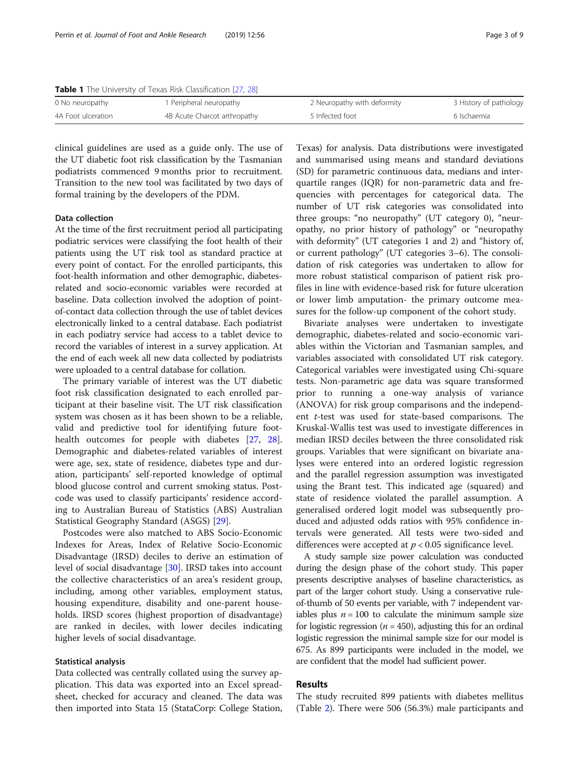<span id="page-2-0"></span>Table 1 The University of Texas Risk Classification [[27](#page-8-0), [28](#page-8-0)]

| 0 No neuropathy    | Peripheral neuropathy        | 2 Neuropathy with deformity | 3 History of pathology |
|--------------------|------------------------------|-----------------------------|------------------------|
| 4A Foot ulceration | 4B Acute Charcot arthropathy | 5 Infected foot             | 6 Ischaemia            |
|                    |                              |                             |                        |

clinical guidelines are used as a guide only. The use of the UT diabetic foot risk classification by the Tasmanian podiatrists commenced 9 months prior to recruitment. Transition to the new tool was facilitated by two days of formal training by the developers of the PDM.

## Data collection

At the time of the first recruitment period all participating podiatric services were classifying the foot health of their patients using the UT risk tool as standard practice at every point of contact. For the enrolled participants, this foot-health information and other demographic, diabetesrelated and socio-economic variables were recorded at baseline. Data collection involved the adoption of pointof-contact data collection through the use of tablet devices electronically linked to a central database. Each podiatrist in each podiatry service had access to a tablet device to record the variables of interest in a survey application. At the end of each week all new data collected by podiatrists were uploaded to a central database for collation.

The primary variable of interest was the UT diabetic foot risk classification designated to each enrolled participant at their baseline visit. The UT risk classification system was chosen as it has been shown to be a reliable, valid and predictive tool for identifying future foothealth outcomes for people with diabetes [\[27](#page-8-0), [28](#page-8-0)]. Demographic and diabetes-related variables of interest were age, sex, state of residence, diabetes type and duration, participants' self-reported knowledge of optimal blood glucose control and current smoking status. Postcode was used to classify participants' residence according to Australian Bureau of Statistics (ABS) Australian Statistical Geography Standard (ASGS) [\[29](#page-8-0)].

Postcodes were also matched to ABS Socio-Economic Indexes for Areas, Index of Relative Socio-Economic Disadvantage (IRSD) deciles to derive an estimation of level of social disadvantage [\[30\]](#page-8-0). IRSD takes into account the collective characteristics of an area's resident group, including, among other variables, employment status, housing expenditure, disability and one-parent households. IRSD scores (highest proportion of disadvantage) are ranked in deciles, with lower deciles indicating higher levels of social disadvantage.

#### Statistical analysis

Data collected was centrally collated using the survey application. This data was exported into an Excel spreadsheet, checked for accuracy and cleaned. The data was then imported into Stata 15 (StataCorp: College Station,

Texas) for analysis. Data distributions were investigated and summarised using means and standard deviations (SD) for parametric continuous data, medians and interquartile ranges (IQR) for non-parametric data and frequencies with percentages for categorical data. The number of UT risk categories was consolidated into three groups: "no neuropathy" (UT category 0), "neuropathy, no prior history of pathology" or "neuropathy with deformity" (UT categories 1 and 2) and "history of, or current pathology" (UT categories 3–6). The consolidation of risk categories was undertaken to allow for more robust statistical comparison of patient risk profiles in line with evidence-based risk for future ulceration or lower limb amputation- the primary outcome measures for the follow-up component of the cohort study.

Bivariate analyses were undertaken to investigate demographic, diabetes-related and socio-economic variables within the Victorian and Tasmanian samples, and variables associated with consolidated UT risk category. Categorical variables were investigated using Chi-square tests. Non-parametric age data was square transformed prior to running a one-way analysis of variance (ANOVA) for risk group comparisons and the independent t-test was used for state-based comparisons. The Kruskal-Wallis test was used to investigate differences in median IRSD deciles between the three consolidated risk groups. Variables that were significant on bivariate analyses were entered into an ordered logistic regression and the parallel regression assumption was investigated using the Brant test. This indicated age (squared) and state of residence violated the parallel assumption. A generalised ordered logit model was subsequently produced and adjusted odds ratios with 95% confidence intervals were generated. All tests were two-sided and differences were accepted at  $p < 0.05$  significance level.

A study sample size power calculation was conducted during the design phase of the cohort study. This paper presents descriptive analyses of baseline characteristics, as part of the larger cohort study. Using a conservative ruleof-thumb of 50 events per variable, with 7 independent variables plus  $n = 100$  to calculate the minimum sample size for logistic regression ( $n = 450$ ), adjusting this for an ordinal logistic regression the minimal sample size for our model is 675. As 899 participants were included in the model, we are confident that the model had sufficient power.

# Results

The study recruited 899 patients with diabetes mellitus (Table [2](#page-3-0)). There were 506 (56.3%) male participants and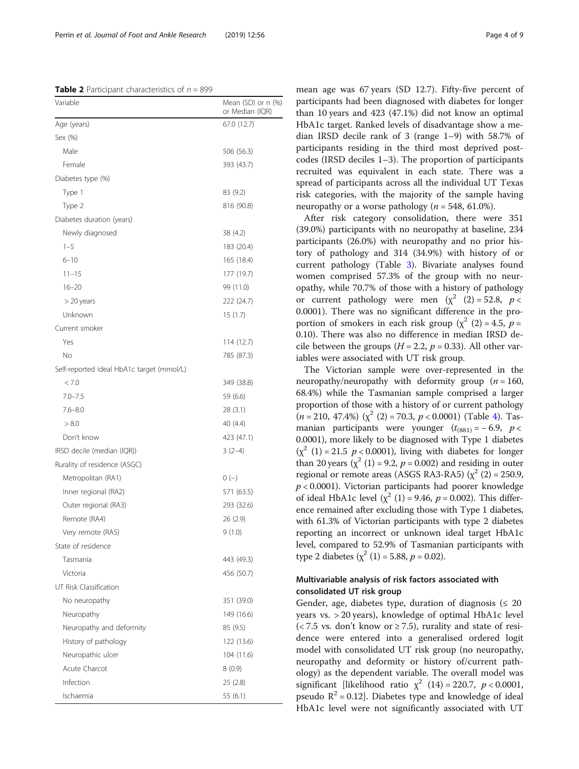<span id="page-3-0"></span>**Table 2** Participant characteristics of  $n = 899$ 

| Variable                                  | Mean (SD) or n (%)<br>or Median (IQR) |
|-------------------------------------------|---------------------------------------|
| Age (years)                               | 67.0 (12.7)                           |
| Sex (%)                                   |                                       |
| Male                                      | 506 (56.3)                            |
| Female                                    | 393 (43.7)                            |
| Diabetes type (%)                         |                                       |
| Type 1                                    | 83 (9.2)                              |
| Type 2                                    | 816 (90.8)                            |
| Diabetes duration (years)                 |                                       |
| Newly diagnosed                           | 38 (4.2)                              |
| $1 - 5$                                   | 183 (20.4)                            |
| $6 - 10$                                  | 165 (18.4)                            |
| $11 - 15$                                 | 177 (19.7)                            |
| $16 - 20$                                 | 99 (11.0)                             |
| > 20 years                                | 222 (24.7)                            |
| Unknown                                   | 15(1.7)                               |
| Current smoker                            |                                       |
| Yes                                       | 114 (12.7)                            |
| No.                                       | 785 (87.3)                            |
| Self-reported ideal HbA1c target (mmol/L) |                                       |
| < 7.0                                     | 349 (38.8)                            |
| $7.0 - 7.5$                               | 59 (6.6)                              |
| $7.6 - 8.0$                               | 28 (3.1)                              |
| > 8.0                                     | 40 (4.4)                              |
| Don't know                                | 423 (47.1)                            |
| IRSD decile (median (IQR))                | $3(2-4)$                              |
| Rurality of residence (ASGC)              |                                       |
| Metropolitan (RA1)                        | $0(-)$                                |
| Inner regional (RA2)                      | 571 (63.5)                            |
| Outer regional (RA3)                      | 293 (32.6)                            |
| Remote (RA4)                              | 26 (2.9)                              |
| Very remote (RA5)                         | 9(1.0)                                |
| State of residence                        |                                       |
| Tasmania                                  | 443 (49.3)                            |
| Victoria                                  | 456 (50.7)                            |
| UT Risk Classification                    |                                       |
| No neuropathy                             | 351 (39.0)                            |
| Neuropathy                                | 149 (16.6)                            |
| Neuropathy and deformity                  | 85 (9.5)                              |
| History of pathology                      | 122 (13.6)                            |
| Neuropathic ulcer                         | 104 (11.6)                            |
| Acute Charcot                             | 8(0.9)                                |
| Infection                                 | 25 (2.8)                              |
| Ischaemia                                 | 55 (6.1)                              |

mean age was 67 years (SD 12.7). Fifty-five percent of participants had been diagnosed with diabetes for longer than 10 years and 423 (47.1%) did not know an optimal HbA1c target. Ranked levels of disadvantage show a median IRSD decile rank of 3 (range 1–9) with 58.7% of participants residing in the third most deprived postcodes (IRSD deciles 1–3). The proportion of participants recruited was equivalent in each state. There was a spread of participants across all the individual UT Texas risk categories, with the majority of the sample having neuropathy or a worse pathology ( $n = 548, 61.0\%$ ).

After risk category consolidation, there were 351 (39.0%) participants with no neuropathy at baseline, 234 participants (26.0%) with neuropathy and no prior history of pathology and 314 (34.9%) with history of or current pathology (Table [3](#page-4-0)). Bivariate analyses found women comprised 57.3% of the group with no neuropathy, while 70.7% of those with a history of pathology or current pathology were men  $(x^2 (2) = 52.8, p <$ 0.0001). There was no significant difference in the proportion of smokers in each risk group ( $\chi^2$  (2) = 4.5, p = 0.10). There was also no difference in median IRSD decile between the groups ( $H = 2.2$ ,  $p = 0.33$ ). All other variables were associated with UT risk group.

The Victorian sample were over-represented in the neuropathy/neuropathy with deformity group  $(n = 160)$ , 68.4%) while the Tasmanian sample comprised a larger proportion of those with a history of or current pathology  $(n = 210, 47.4\%)$   $(\chi^2$  (2) = 70.3,  $p < 0.0001$ ) (Table [4\)](#page-5-0). Tasmanian participants were younger  $(t_{(881)} = -6.9, p <$ 0.0001), more likely to be diagnosed with Type 1 diabetes  $(\chi^2 \ (1) = 21.5 \ p < 0.0001)$ , living with diabetes for longer than 20 years  $(\chi^2 (1) = 9.2, p = 0.002)$  and residing in outer regional or remote areas (ASGS RA3-RA5) ( $\chi^2$  (2) = 250.9,  $p$  < 0.0001). Victorian participants had poorer knowledge of ideal HbA1c level ( $\chi^2$  (1) = 9.46, p = 0.002). This difference remained after excluding those with Type 1 diabetes, with 61.3% of Victorian participants with type 2 diabetes reporting an incorrect or unknown ideal target HbA1c level, compared to 52.9% of Tasmanian participants with type 2 diabetes ( $\chi^2$  (1) = 5.88,  $p$  = 0.02).

# Multivariable analysis of risk factors associated with consolidated UT risk group

Gender, age, diabetes type, duration of diagnosis ( $\leq 20$ years vs. > 20 years), knowledge of optimal HbA1c level  $\left($  < 7.5 vs. don't know or  $\geq$  7.5), rurality and state of residence were entered into a generalised ordered logit model with consolidated UT risk group (no neuropathy, neuropathy and deformity or history of/current pathology) as the dependent variable. The overall model was significant [likelihood ratio  $\chi^2$  (14) = 220.7,  $p < 0.0001$ , pseudo  $R^2 = 0.12$ . Diabetes type and knowledge of ideal HbA1c level were not significantly associated with UT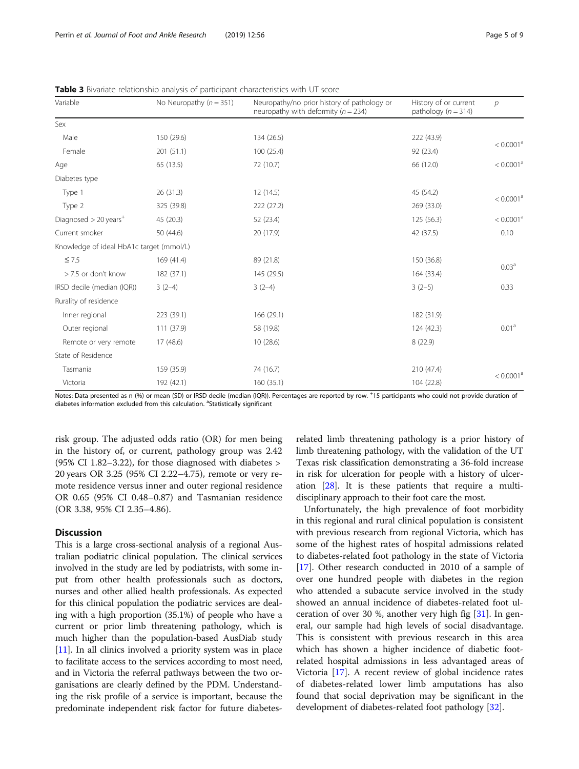| Variable                                 | No Neuropathy ( $n = 351$ ) | Neuropathy/no prior history of pathology or<br>neuropathy with deformity ( $n = 234$ ) | History of or current<br>pathology ( $n = 314$ ) | $\mathcal{P}$         |
|------------------------------------------|-----------------------------|----------------------------------------------------------------------------------------|--------------------------------------------------|-----------------------|
| Sex                                      |                             |                                                                                        |                                                  |                       |
| Male                                     | 150 (29.6)                  | 134 (26.5)                                                                             | 222 (43.9)                                       | < 0.0001 <sup>a</sup> |
| Female                                   | 201 (51.1)                  | 100 (25.4)                                                                             | 92 (23.4)                                        |                       |
| Age                                      | 65 (13.5)                   | 72 (10.7)                                                                              | 66 (12.0)                                        | < 0.0001 <sup>a</sup> |
| Diabetes type                            |                             |                                                                                        |                                                  |                       |
| Type 1                                   | 26(31.3)                    | 12 (14.5)                                                                              | 45 (54.2)                                        | < 0.0001 <sup>a</sup> |
| Type 2                                   | 325 (39.8)                  | 222 (27.2)                                                                             | 269 (33.0)                                       |                       |
| Diagnosed $>$ 20 years <sup>+</sup>      | 45 (20.3)                   | 52 (23.4)                                                                              | 125 (56.3)                                       | < 0.0001 <sup>a</sup> |
| Current smoker                           | 50 (44.6)                   | 20 (17.9)                                                                              | 42 (37.5)                                        | 0.10                  |
| Knowledge of ideal HbA1c target (mmol/L) |                             |                                                                                        |                                                  |                       |
| $\leq 7.5$                               | 169 (41.4)                  | 89 (21.8)                                                                              | 150 (36.8)                                       |                       |
| > 7.5 or don't know                      | 182 (37.1)                  | 145 (29.5)                                                                             | 164 (33.4)                                       | 0.03 <sup>a</sup>     |
| IRSD decile (median (IQR))               | $3(2-4)$                    | $3(2-4)$                                                                               | $3(2-5)$                                         | 0.33                  |
| Rurality of residence                    |                             |                                                                                        |                                                  |                       |
| Inner regional                           | 223 (39.1)                  | 166 (29.1)                                                                             | 182 (31.9)                                       |                       |
| Outer regional                           | 111 (37.9)                  | 58 (19.8)                                                                              | 124 (42.3)                                       | 0.01 <sup>a</sup>     |
| Remote or very remote                    | 17(48.6)                    | 10(28.6)                                                                               | 8(22.9)                                          |                       |
| State of Residence                       |                             |                                                                                        |                                                  |                       |
| Tasmania                                 | 159 (35.9)                  | 74 (16.7)                                                                              | 210 (47.4)                                       | < 0.0001 <sup>a</sup> |
| Victoria                                 | 192 (42.1)                  | 160 (35.1)                                                                             | 104 (22.8)                                       |                       |

<span id="page-4-0"></span>Table 3 Bivariate relationship analysis of participant characteristics with UT score

Notes: Data presented as n (%) or mean (SD) or IRSD decile (median (IQR)). Percentages are reported by row. <sup>+</sup> 15 participants who could not provide duration of diabetes information excluded from this calculation. <sup>a</sup>Statistically significant

risk group. The adjusted odds ratio (OR) for men being in the history of, or current, pathology group was 2.42 (95% CI 1.82–3.22), for those diagnosed with diabetes > 20 years OR 3.25 (95% CI 2.22–4.75), remote or very remote residence versus inner and outer regional residence OR 0.65 (95% CI 0.48–0.87) and Tasmanian residence (OR 3.38, 95% CI 2.35–4.86).

#### **Discussion**

This is a large cross-sectional analysis of a regional Australian podiatric clinical population. The clinical services involved in the study are led by podiatrists, with some input from other health professionals such as doctors, nurses and other allied health professionals. As expected for this clinical population the podiatric services are dealing with a high proportion (35.1%) of people who have a current or prior limb threatening pathology, which is much higher than the population-based AusDiab study [[11](#page-8-0)]. In all clinics involved a priority system was in place to facilitate access to the services according to most need, and in Victoria the referral pathways between the two organisations are clearly defined by the PDM. Understanding the risk profile of a service is important, because the predominate independent risk factor for future diabetes-

related limb threatening pathology is a prior history of limb threatening pathology, with the validation of the UT Texas risk classification demonstrating a 36-fold increase in risk for ulceration for people with a history of ulceration [\[28](#page-8-0)]. It is these patients that require a multidisciplinary approach to their foot care the most.

Unfortunately, the high prevalence of foot morbidity in this regional and rural clinical population is consistent with previous research from regional Victoria, which has some of the highest rates of hospital admissions related to diabetes-related foot pathology in the state of Victoria [[17\]](#page-8-0). Other research conducted in 2010 of a sample of over one hundred people with diabetes in the region who attended a subacute service involved in the study showed an annual incidence of diabetes-related foot ulceration of over 30 %, another very high fig [\[31](#page-8-0)]. In general, our sample had high levels of social disadvantage. This is consistent with previous research in this area which has shown a higher incidence of diabetic footrelated hospital admissions in less advantaged areas of Victoria [[17\]](#page-8-0). A recent review of global incidence rates of diabetes-related lower limb amputations has also found that social deprivation may be significant in the development of diabetes-related foot pathology [[32\]](#page-8-0).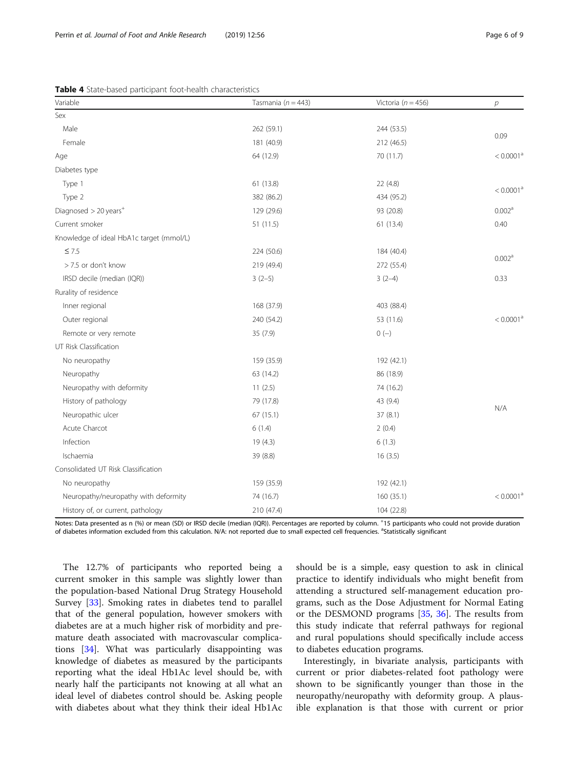<span id="page-5-0"></span>

| Variable                                 | Tasmania ( $n = 443$ ) | Victoria ( $n = 456$ ) | $\overline{p}$        |  |
|------------------------------------------|------------------------|------------------------|-----------------------|--|
| Sex                                      |                        |                        |                       |  |
| Male                                     | 262 (59.1)             | 244 (53.5)             |                       |  |
| Female                                   | 181 (40.9)             | 212 (46.5)             | 0.09                  |  |
| Age                                      | 64 (12.9)              | 70 (11.7)              | < 0.0001 <sup>a</sup> |  |
| Diabetes type                            |                        |                        |                       |  |
| Type 1                                   | 61 (13.8)              | 22(4.8)                | < 0.0001 <sup>a</sup> |  |
| Type 2                                   | 382 (86.2)             | 434 (95.2)             |                       |  |
| Diagnosed > 20 years <sup>+</sup>        | 129 (29.6)             | 93 (20.8)              | 0.002 <sup>a</sup>    |  |
| Current smoker                           | 51 (11.5)              | 61 (13.4)              | 0.40                  |  |
| Knowledge of ideal HbA1c target (mmol/L) |                        |                        |                       |  |
| $\leq 7.5$                               | 224 (50.6)             | 184 (40.4)             |                       |  |
| > 7.5 or don't know                      | 219 (49.4)             | 272 (55.4)             | 0.002 <sup>a</sup>    |  |
| IRSD decile (median (IQR))               | $3(2-5)$               | $3(2-4)$               | 0.33                  |  |
| Rurality of residence                    |                        |                        |                       |  |
| Inner regional                           | 168 (37.9)             | 403 (88.4)             |                       |  |
| Outer regional                           | 240 (54.2)             | 53 (11.6)              | < 0.0001 <sup>a</sup> |  |
| Remote or very remote                    | 35 (7.9)               | $0 (-)$                |                       |  |
| UT Risk Classification                   |                        |                        |                       |  |
| No neuropathy                            | 159 (35.9)             | 192 (42.1)             |                       |  |
| Neuropathy                               | 63 (14.2)              | 86 (18.9)              |                       |  |
| Neuropathy with deformity                | 11(2.5)                | 74 (16.2)              |                       |  |
| History of pathology                     | 79 (17.8)              | 43 (9.4)               |                       |  |
| Neuropathic ulcer                        | 67(15.1)               | 37(8.1)                | N/A                   |  |
| Acute Charcot                            | 6(1.4)                 | 2(0.4)                 |                       |  |
| Infection                                | 19(4.3)                | 6(1.3)                 |                       |  |
| Ischaemia                                | 39 (8.8)               | 16(3.5)                |                       |  |
| Consolidated UT Risk Classification      |                        |                        |                       |  |
| No neuropathy                            | 159 (35.9)             | 192 (42.1)             |                       |  |
| Neuropathy/neuropathy with deformity     | 74 (16.7)              | 160 (35.1)             | < 0.0001 <sup>a</sup> |  |
| History of, or current, pathology        | 210 (47.4)             | 104 (22.8)             |                       |  |

Notes: Data presented as n (%) or mean (SD) or IRSD decile (median (IQR)). Percentages are reported by column. <sup>+</sup> 15 participants who could not provide duration of diabetes information excluded from this calculation. N/A: not reported due to small expected cell frequencies. <sup>a</sup>Statistically significant

The 12.7% of participants who reported being a current smoker in this sample was slightly lower than the population-based National Drug Strategy Household Survey [[33](#page-8-0)]. Smoking rates in diabetes tend to parallel that of the general population, however smokers with diabetes are at a much higher risk of morbidity and premature death associated with macrovascular complications [[34\]](#page-8-0). What was particularly disappointing was knowledge of diabetes as measured by the participants reporting what the ideal Hb1Ac level should be, with nearly half the participants not knowing at all what an ideal level of diabetes control should be. Asking people with diabetes about what they think their ideal Hb1Ac

should be is a simple, easy question to ask in clinical practice to identify individuals who might benefit from attending a structured self-management education programs, such as the Dose Adjustment for Normal Eating or the DESMOND programs [\[35,](#page-8-0) [36\]](#page-8-0). The results from this study indicate that referral pathways for regional and rural populations should specifically include access to diabetes education programs.

Interestingly, in bivariate analysis, participants with current or prior diabetes-related foot pathology were shown to be significantly younger than those in the neuropathy/neuropathy with deformity group. A plausible explanation is that those with current or prior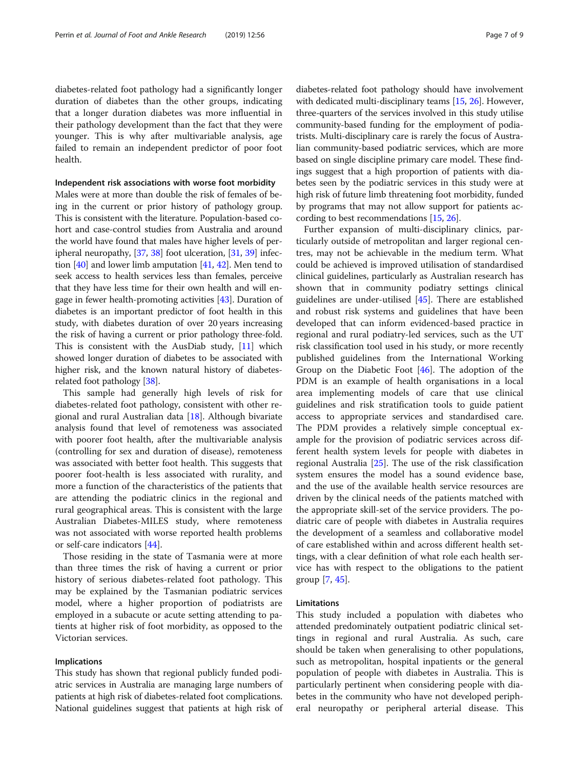diabetes-related foot pathology had a significantly longer duration of diabetes than the other groups, indicating that a longer duration diabetes was more influential in their pathology development than the fact that they were younger. This is why after multivariable analysis, age failed to remain an independent predictor of poor foot health.

#### Independent risk associations with worse foot morbidity

Males were at more than double the risk of females of being in the current or prior history of pathology group. This is consistent with the literature. Population-based cohort and case-control studies from Australia and around the world have found that males have higher levels of peripheral neuropathy, [[37](#page-8-0), [38\]](#page-8-0) foot ulceration, [[31](#page-8-0), [39\]](#page-8-0) infection [\[40\]](#page-8-0) and lower limb amputation [[41](#page-8-0), [42\]](#page-8-0). Men tend to seek access to health services less than females, perceive that they have less time for their own health and will engage in fewer health-promoting activities [\[43\]](#page-8-0). Duration of diabetes is an important predictor of foot health in this study, with diabetes duration of over 20 years increasing the risk of having a current or prior pathology three-fold. This is consistent with the AusDiab study, [[11](#page-8-0)] which showed longer duration of diabetes to be associated with higher risk, and the known natural history of diabetesrelated foot pathology [\[38\]](#page-8-0).

This sample had generally high levels of risk for diabetes-related foot pathology, consistent with other regional and rural Australian data  $[18]$  $[18]$ . Although bivariate analysis found that level of remoteness was associated with poorer foot health, after the multivariable analysis (controlling for sex and duration of disease), remoteness was associated with better foot health. This suggests that poorer foot-health is less associated with rurality, and more a function of the characteristics of the patients that are attending the podiatric clinics in the regional and rural geographical areas. This is consistent with the large Australian Diabetes-MILES study, where remoteness was not associated with worse reported health problems or self-care indicators [[44\]](#page-8-0).

Those residing in the state of Tasmania were at more than three times the risk of having a current or prior history of serious diabetes-related foot pathology. This may be explained by the Tasmanian podiatric services model, where a higher proportion of podiatrists are employed in a subacute or acute setting attending to patients at higher risk of foot morbidity, as opposed to the Victorian services.

# Implications

This study has shown that regional publicly funded podiatric services in Australia are managing large numbers of patients at high risk of diabetes-related foot complications. National guidelines suggest that patients at high risk of

diabetes-related foot pathology should have involvement with dedicated multi-disciplinary teams [[15](#page-8-0), [26\]](#page-8-0). However, three-quarters of the services involved in this study utilise community-based funding for the employment of podiatrists. Multi-disciplinary care is rarely the focus of Australian community-based podiatric services, which are more based on single discipline primary care model. These findings suggest that a high proportion of patients with diabetes seen by the podiatric services in this study were at high risk of future limb threatening foot morbidity, funded by programs that may not allow support for patients according to best recommendations [\[15,](#page-8-0) [26](#page-8-0)].

Further expansion of multi-disciplinary clinics, particularly outside of metropolitan and larger regional centres, may not be achievable in the medium term. What could be achieved is improved utilisation of standardised clinical guidelines, particularly as Australian research has shown that in community podiatry settings clinical guidelines are under-utilised [\[45\]](#page-8-0). There are established and robust risk systems and guidelines that have been developed that can inform evidenced-based practice in regional and rural podiatry-led services, such as the UT risk classification tool used in his study, or more recently published guidelines from the International Working Group on the Diabetic Foot [\[46](#page-8-0)]. The adoption of the PDM is an example of health organisations in a local area implementing models of care that use clinical guidelines and risk stratification tools to guide patient access to appropriate services and standardised care. The PDM provides a relatively simple conceptual example for the provision of podiatric services across different health system levels for people with diabetes in regional Australia [[25](#page-8-0)]. The use of the risk classification system ensures the model has a sound evidence base, and the use of the available health service resources are driven by the clinical needs of the patients matched with the appropriate skill-set of the service providers. The podiatric care of people with diabetes in Australia requires the development of a seamless and collaborative model of care established within and across different health settings, with a clear definition of what role each health service has with respect to the obligations to the patient group [[7,](#page-8-0) [45\]](#page-8-0).

#### Limitations

This study included a population with diabetes who attended predominately outpatient podiatric clinical settings in regional and rural Australia. As such, care should be taken when generalising to other populations, such as metropolitan, hospital inpatients or the general population of people with diabetes in Australia. This is particularly pertinent when considering people with diabetes in the community who have not developed peripheral neuropathy or peripheral arterial disease. This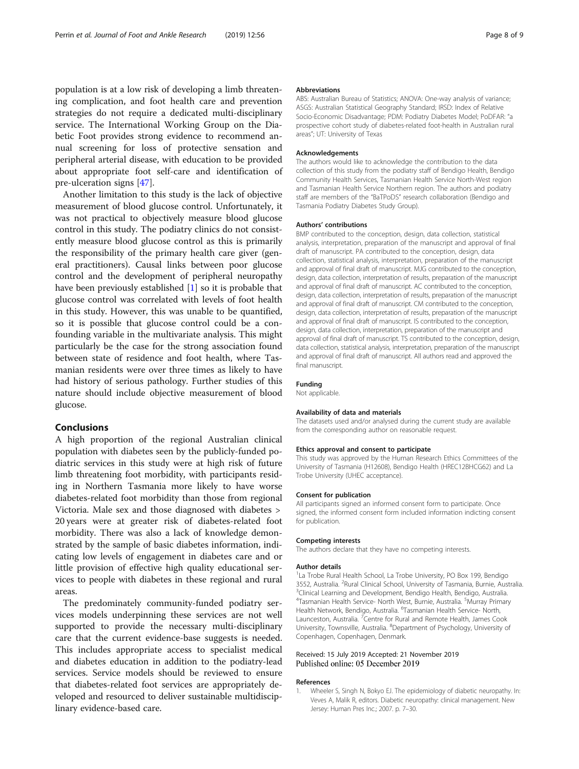<span id="page-7-0"></span>population is at a low risk of developing a limb threatening complication, and foot health care and prevention strategies do not require a dedicated multi-disciplinary service. The International Working Group on the Diabetic Foot provides strong evidence to recommend annual screening for loss of protective sensation and peripheral arterial disease, with education to be provided about appropriate foot self-care and identification of pre-ulceration signs [[47\]](#page-8-0).

Another limitation to this study is the lack of objective measurement of blood glucose control. Unfortunately, it was not practical to objectively measure blood glucose control in this study. The podiatry clinics do not consistently measure blood glucose control as this is primarily the responsibility of the primary health care giver (general practitioners). Causal links between poor glucose control and the development of peripheral neuropathy have been previously established [1] so it is probable that glucose control was correlated with levels of foot health in this study. However, this was unable to be quantified, so it is possible that glucose control could be a confounding variable in the multivariate analysis. This might particularly be the case for the strong association found between state of residence and foot health, where Tasmanian residents were over three times as likely to have had history of serious pathology. Further studies of this nature should include objective measurement of blood glucose.

#### Conclusions

A high proportion of the regional Australian clinical population with diabetes seen by the publicly-funded podiatric services in this study were at high risk of future limb threatening foot morbidity, with participants residing in Northern Tasmania more likely to have worse diabetes-related foot morbidity than those from regional Victoria. Male sex and those diagnosed with diabetes > 20 years were at greater risk of diabetes-related foot morbidity. There was also a lack of knowledge demonstrated by the sample of basic diabetes information, indicating low levels of engagement in diabetes care and or little provision of effective high quality educational services to people with diabetes in these regional and rural areas.

The predominately community-funded podiatry services models underpinning these services are not well supported to provide the necessary multi-disciplinary care that the current evidence-base suggests is needed. This includes appropriate access to specialist medical and diabetes education in addition to the podiatry-lead services. Service models should be reviewed to ensure that diabetes-related foot services are appropriately developed and resourced to deliver sustainable multidisciplinary evidence-based care.

#### Abbreviations

ABS: Australian Bureau of Statistics; ANOVA: One-way analysis of variance; ASGS: Australian Statistical Geography Standard; IRSD: Index of Relative Socio-Economic Disadvantage; PDM: Podiatry Diabetes Model; PoDFAR: "a prospective cohort study of diabetes-related foot-health in Australian rural areas"; UT: University of Texas

#### Acknowledgements

The authors would like to acknowledge the contribution to the data collection of this study from the podiatry staff of Bendigo Health, Bendigo Community Health Services, Tasmanian Health Service North-West region and Tasmanian Health Service Northern region. The authors and podiatry staff are members of the "BaTPoDS" research collaboration (Bendigo and Tasmania Podiatry Diabetes Study Group).

#### Authors' contributions

BMP contributed to the conception, design, data collection, statistical analysis, interpretation, preparation of the manuscript and approval of final draft of manuscript. PA contributed to the conception, design, data collection, statistical analysis, interpretation, preparation of the manuscript and approval of final draft of manuscript. MJG contributed to the conception, design, data collection, interpretation of results, preparation of the manuscript and approval of final draft of manuscript. AC contributed to the conception, design, data collection, interpretation of results, preparation of the manuscript and approval of final draft of manuscript. CM contributed to the conception, design, data collection, interpretation of results, preparation of the manuscript and approval of final draft of manuscript. IS contributed to the conception, design, data collection, interpretation, preparation of the manuscript and approval of final draft of manuscript. TS contributed to the conception, design, data collection, statistical analysis, interpretation, preparation of the manuscript and approval of final draft of manuscript. All authors read and approved the final manuscript.

#### Funding

Not applicable.

#### Availability of data and materials

The datasets used and/or analysed during the current study are available from the corresponding author on reasonable request.

#### Ethics approval and consent to participate

This study was approved by the Human Research Ethics Committees of the University of Tasmania (H12608), Bendigo Health (HREC12BHCG62) and La Trobe University (UHEC acceptance).

#### Consent for publication

All participants signed an informed consent form to participate. Once signed, the informed consent form included information indicting consent for publication.

#### Competing interests

The authors declare that they have no competing interests.

#### Author details

<sup>1</sup>La Trobe Rural Health School, La Trobe University, PO Box 199, Bendigo 3552, Australia. <sup>2</sup> Rural Clinical School, University of Tasmania, Burnie, Australia.<br><sup>3</sup> Clinical Lorraina and Development, Bendigo Health, Bendigo, Australia. <sup>3</sup>Clinical Learning and Development, Bendigo Health, Bendigo, Australia. 4 Tasmanian Health Service- North West, Burnie, Australia. <sup>5</sup> Murray Primary Health Network, Bendigo, Australia. <sup>6</sup>Tasmanian Health Service- North Launceston, Australia. <sup>7</sup> Centre for Rural and Remote Health, James Cook University, Townsville, Australia. <sup>8</sup>Department of Psychology, University of Copenhagen, Copenhagen, Denmark.

#### Received: 15 July 2019 Accepted: 21 November 2019 Published online: 05 December 2019

#### References

Wheeler S, Singh N, Bokyo EJ. The epidemiology of diabetic neuropathy. In: Veves A, Malik R, editors. Diabetic neuropathy: clinical management. New Jersey: Human Pres Inc.; 2007. p. 7–30.